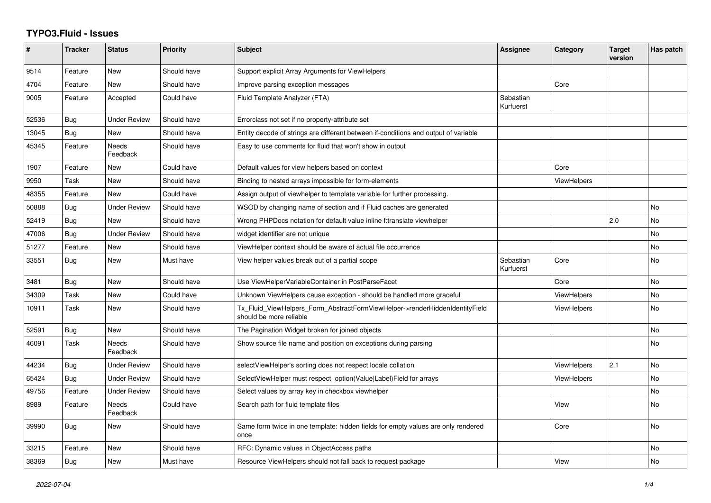## **TYPO3.Fluid - Issues**

| #     | <b>Tracker</b> | <b>Status</b>            | <b>Priority</b> | <b>Subject</b>                                                                                         | Assignee               | Category           | <b>Target</b><br>version | Has patch |
|-------|----------------|--------------------------|-----------------|--------------------------------------------------------------------------------------------------------|------------------------|--------------------|--------------------------|-----------|
| 9514  | Feature        | New                      | Should have     | Support explicit Array Arguments for ViewHelpers                                                       |                        |                    |                          |           |
| 4704  | Feature        | <b>New</b>               | Should have     | Improve parsing exception messages                                                                     |                        | Core               |                          |           |
| 9005  | Feature        | Accepted                 | Could have      | Fluid Template Analyzer (FTA)                                                                          | Sebastian<br>Kurfuerst |                    |                          |           |
| 52536 | <b>Bug</b>     | <b>Under Review</b>      | Should have     | Errorclass not set if no property-attribute set                                                        |                        |                    |                          |           |
| 13045 | <b>Bug</b>     | <b>New</b>               | Should have     | Entity decode of strings are different between if-conditions and output of variable                    |                        |                    |                          |           |
| 45345 | Feature        | Needs<br>Feedback        | Should have     | Easy to use comments for fluid that won't show in output                                               |                        |                    |                          |           |
| 1907  | Feature        | New                      | Could have      | Default values for view helpers based on context                                                       |                        | Core               |                          |           |
| 9950  | Task           | New                      | Should have     | Binding to nested arrays impossible for form-elements                                                  |                        | <b>ViewHelpers</b> |                          |           |
| 48355 | Feature        | <b>New</b>               | Could have      | Assign output of viewhelper to template variable for further processing.                               |                        |                    |                          |           |
| 50888 | Bug            | <b>Under Review</b>      | Should have     | WSOD by changing name of section and if Fluid caches are generated                                     |                        |                    |                          | <b>No</b> |
| 52419 | Bug            | New                      | Should have     | Wrong PHPDocs notation for default value inline f:translate viewhelper                                 |                        |                    | 2.0                      | <b>No</b> |
| 47006 | <b>Bug</b>     | <b>Under Review</b>      | Should have     | widget identifier are not unique                                                                       |                        |                    |                          | <b>No</b> |
| 51277 | Feature        | New                      | Should have     | ViewHelper context should be aware of actual file occurrence                                           |                        |                    |                          | No.       |
| 33551 | Bug            | New                      | Must have       | View helper values break out of a partial scope                                                        | Sebastian<br>Kurfuerst | Core               |                          | <b>No</b> |
| 3481  | <b>Bug</b>     | New                      | Should have     | Use ViewHelperVariableContainer in PostParseFacet                                                      |                        | Core               |                          | <b>No</b> |
| 34309 | Task           | New                      | Could have      | Unknown ViewHelpers cause exception - should be handled more graceful                                  |                        | ViewHelpers        |                          | No        |
| 10911 | Task           | New                      | Should have     | Tx_Fluid_ViewHelpers_Form_AbstractFormViewHelper->renderHiddenIdentityField<br>should be more reliable |                        | <b>ViewHelpers</b> |                          | <b>No</b> |
| 52591 | <b>Bug</b>     | New                      | Should have     | The Pagination Widget broken for joined objects                                                        |                        |                    |                          | No        |
| 46091 | Task           | <b>Needs</b><br>Feedback | Should have     | Show source file name and position on exceptions during parsing                                        |                        |                    |                          | <b>No</b> |
| 44234 | <b>Bug</b>     | Under Review             | Should have     | selectViewHelper's sorting does not respect locale collation                                           |                        | <b>ViewHelpers</b> | 2.1                      | <b>No</b> |
| 65424 | Bug            | <b>Under Review</b>      | Should have     | SelectViewHelper must respect option(Value Label)Field for arrays                                      |                        | ViewHelpers        |                          | No        |
| 49756 | Feature        | <b>Under Review</b>      | Should have     | Select values by array key in checkbox viewhelper                                                      |                        |                    |                          | <b>No</b> |
| 8989  | Feature        | Needs<br>Feedback        | Could have      | Search path for fluid template files                                                                   |                        | View               |                          | <b>No</b> |
| 39990 | Bug            | New                      | Should have     | Same form twice in one template: hidden fields for empty values are only rendered<br>once              |                        | Core               |                          | No        |
| 33215 | Feature        | New                      | Should have     | RFC: Dynamic values in ObjectAccess paths                                                              |                        |                    |                          | No        |
| 38369 | <b>Bug</b>     | New                      | Must have       | Resource ViewHelpers should not fall back to request package                                           |                        | View               |                          | <b>No</b> |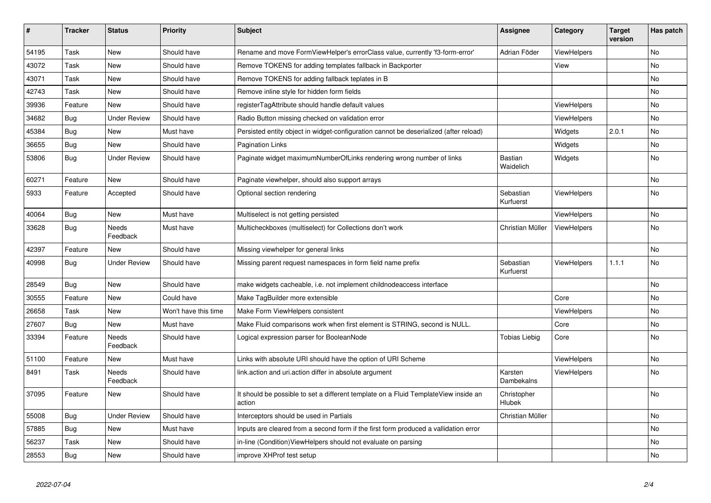| #     | <b>Tracker</b> | <b>Status</b>            | <b>Priority</b>      | Subject                                                                                       | <b>Assignee</b>             | Category           | <b>Target</b><br>version | Has patch |
|-------|----------------|--------------------------|----------------------|-----------------------------------------------------------------------------------------------|-----------------------------|--------------------|--------------------------|-----------|
| 54195 | Task           | New                      | Should have          | Rename and move FormViewHelper's errorClass value, currently 'f3-form-error'                  | Adrian Föder                | ViewHelpers        |                          | No.       |
| 43072 | Task           | New                      | Should have          | Remove TOKENS for adding templates fallback in Backporter                                     |                             | View               |                          | No        |
| 43071 | Task           | New                      | Should have          | Remove TOKENS for adding fallback teplates in B                                               |                             |                    |                          | No        |
| 42743 | Task           | New                      | Should have          | Remove inline style for hidden form fields                                                    |                             |                    |                          | No        |
| 39936 | Feature        | <b>New</b>               | Should have          | registerTagAttribute should handle default values                                             |                             | <b>ViewHelpers</b> |                          | No        |
| 34682 | Bug            | <b>Under Review</b>      | Should have          | Radio Button missing checked on validation error                                              |                             | <b>ViewHelpers</b> |                          | No        |
| 45384 | Bug            | New                      | Must have            | Persisted entity object in widget-configuration cannot be deserialized (after reload)         |                             | Widgets            | 2.0.1                    | No        |
| 36655 | Bug            | <b>New</b>               | Should have          | <b>Pagination Links</b>                                                                       |                             | Widgets            |                          | No        |
| 53806 | <b>Bug</b>     | <b>Under Review</b>      | Should have          | Paginate widget maximumNumberOfLinks rendering wrong number of links                          | <b>Bastian</b><br>Waidelich | Widgets            |                          | No        |
| 60271 | Feature        | <b>New</b>               | Should have          | Paginate viewhelper, should also support arrays                                               |                             |                    |                          | No        |
| 5933  | Feature        | Accepted                 | Should have          | Optional section rendering                                                                    | Sebastian<br>Kurfuerst      | <b>ViewHelpers</b> |                          | No        |
| 40064 | Bug            | New                      | Must have            | Multiselect is not getting persisted                                                          |                             | ViewHelpers        |                          | No        |
| 33628 | Bug            | <b>Needs</b><br>Feedback | Must have            | Multicheckboxes (multiselect) for Collections don't work                                      | Christian Müller            | ViewHelpers        |                          | <b>No</b> |
| 42397 | Feature        | <b>New</b>               | Should have          | Missing viewhelper for general links                                                          |                             |                    |                          | <b>No</b> |
| 40998 | <b>Bug</b>     | <b>Under Review</b>      | Should have          | Missing parent request namespaces in form field name prefix                                   | Sebastian<br>Kurfuerst      | ViewHelpers        | 1.1.1                    | <b>No</b> |
| 28549 | <b>Bug</b>     | New                      | Should have          | make widgets cacheable, i.e. not implement childnodeaccess interface                          |                             |                    |                          | No        |
| 30555 | Feature        | New                      | Could have           | Make TagBuilder more extensible                                                               |                             | Core               |                          | No        |
| 26658 | Task           | <b>New</b>               | Won't have this time | Make Form ViewHelpers consistent                                                              |                             | <b>ViewHelpers</b> |                          | No        |
| 27607 | Bug            | <b>New</b>               | Must have            | Make Fluid comparisons work when first element is STRING, second is NULL.                     |                             | Core               |                          | No.       |
| 33394 | Feature        | Needs<br>Feedback        | Should have          | Logical expression parser for BooleanNode                                                     | Tobias Liebig               | Core               |                          | No        |
| 51100 | Feature        | New                      | Must have            | Links with absolute URI should have the option of URI Scheme                                  |                             | ViewHelpers        |                          | No        |
| 8491  | Task           | Needs<br>Feedback        | Should have          | link.action and uri.action differ in absolute argument                                        | Karsten<br>Dambekalns       | ViewHelpers        |                          | No        |
| 37095 | Feature        | New                      | Should have          | It should be possible to set a different template on a Fluid TemplateView inside an<br>action | Christopher<br>Hlubek       |                    |                          | No        |
| 55008 | Bug            | <b>Under Review</b>      | Should have          | Interceptors should be used in Partials                                                       | Christian Müller            |                    |                          | No        |
| 57885 | <b>Bug</b>     | New                      | Must have            | Inputs are cleared from a second form if the first form produced a vallidation error          |                             |                    |                          | No        |
| 56237 | Task           | New                      | Should have          | in-line (Condition) View Helpers should not evaluate on parsing                               |                             |                    |                          | No        |
| 28553 | Bug            | New                      | Should have          | improve XHProf test setup                                                                     |                             |                    |                          | No        |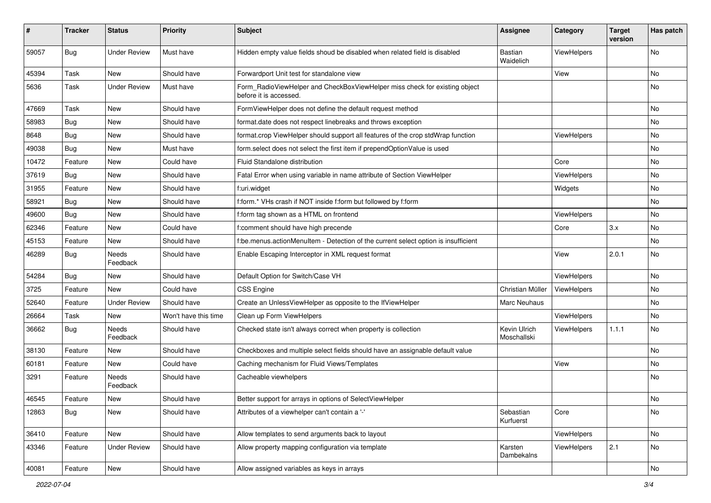| ∦     | <b>Tracker</b> | <b>Status</b>            | <b>Priority</b>      | Subject                                                                                              | <b>Assignee</b>             | Category    | <b>Target</b><br>version | Has patch |
|-------|----------------|--------------------------|----------------------|------------------------------------------------------------------------------------------------------|-----------------------------|-------------|--------------------------|-----------|
| 59057 | Bug            | <b>Under Review</b>      | Must have            | Hidden empty value fields shoud be disabled when related field is disabled                           | Bastian<br>Waidelich        | ViewHelpers |                          | <b>No</b> |
| 45394 | Task           | New                      | Should have          | Forwardport Unit test for standalone view                                                            |                             | View        |                          | <b>No</b> |
| 5636  | Task           | <b>Under Review</b>      | Must have            | Form_RadioViewHelper and CheckBoxViewHelper miss check for existing object<br>before it is accessed. |                             |             |                          | No        |
| 47669 | Task           | New                      | Should have          | FormViewHelper does not define the default request method                                            |                             |             |                          | <b>No</b> |
| 58983 | Bug            | New                      | Should have          | format.date does not respect linebreaks and throws exception                                         |                             |             |                          | No        |
| 8648  | Bug            | New                      | Should have          | format.crop ViewHelper should support all features of the crop stdWrap function                      |                             | ViewHelpers |                          | No        |
| 49038 | Bug            | <b>New</b>               | Must have            | form.select does not select the first item if prependOptionValue is used                             |                             |             |                          | <b>No</b> |
| 10472 | Feature        | New                      | Could have           | Fluid Standalone distribution                                                                        |                             | Core        |                          | No        |
| 37619 | Bug            | New                      | Should have          | Fatal Error when using variable in name attribute of Section ViewHelper                              |                             | ViewHelpers |                          | No        |
| 31955 | Feature        | New                      | Should have          | f:uri.widget                                                                                         |                             | Widgets     |                          | No        |
| 58921 | Bug            | New                      | Should have          | f:form.* VHs crash if NOT inside f:form but followed by f:form                                       |                             |             |                          | No        |
| 49600 | Bug            | New                      | Should have          | f:form tag shown as a HTML on frontend                                                               |                             | ViewHelpers |                          | <b>No</b> |
| 62346 | Feature        | New                      | Could have           | f:comment should have high precende                                                                  |                             | Core        | 3.x                      | No        |
| 45153 | Feature        | New                      | Should have          | f:be.menus.actionMenuItem - Detection of the current select option is insufficient                   |                             |             |                          | <b>No</b> |
| 46289 | Bug            | <b>Needs</b><br>Feedback | Should have          | Enable Escaping Interceptor in XML request format                                                    |                             | View        | 2.0.1                    | No        |
| 54284 | Bug            | New                      | Should have          | Default Option for Switch/Case VH                                                                    |                             | ViewHelpers |                          | No        |
| 3725  | Feature        | <b>New</b>               | Could have           | <b>CSS Engine</b>                                                                                    | Christian Müller            | ViewHelpers |                          | <b>No</b> |
| 52640 | Feature        | <b>Under Review</b>      | Should have          | Create an UnlessViewHelper as opposite to the IfViewHelper                                           | Marc Neuhaus                |             |                          | No        |
| 26664 | Task           | <b>New</b>               | Won't have this time | Clean up Form ViewHelpers                                                                            |                             | ViewHelpers |                          | <b>No</b> |
| 36662 | Bug            | Needs<br>Feedback        | Should have          | Checked state isn't always correct when property is collection                                       | Kevin Ulrich<br>Moschallski | ViewHelpers | 1.1.1                    | No        |
| 38130 | Feature        | New                      | Should have          | Checkboxes and multiple select fields should have an assignable default value                        |                             |             |                          | <b>No</b> |
| 60181 | Feature        | New                      | Could have           | Caching mechanism for Fluid Views/Templates                                                          |                             | View        |                          | No        |
| 3291  | Feature        | Needs<br>Feedback        | Should have          | Cacheable viewhelpers                                                                                |                             |             |                          | No        |
| 46545 | Feature        | New                      | Should have          | Better support for arrays in options of SelectViewHelper                                             |                             |             |                          | <b>No</b> |
| 12863 | Bug            | New                      | Should have          | Attributes of a viewhelper can't contain a '-'                                                       | Sebastian<br>Kurfuerst      | Core        |                          | No        |
| 36410 | Feature        | New                      | Should have          | Allow templates to send arguments back to layout                                                     |                             | ViewHelpers |                          | No        |
| 43346 | Feature        | <b>Under Review</b>      | Should have          | Allow property mapping configuration via template                                                    | Karsten<br>Dambekalns       | ViewHelpers | 2.1                      | No        |
| 40081 | Feature        | New                      | Should have          | Allow assigned variables as keys in arrays                                                           |                             |             |                          | No        |